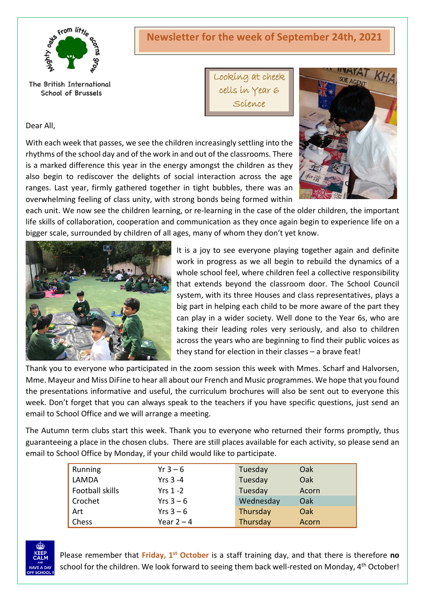

#### The British International School of Brussels

Dear All,

Looking at cheek cells in Year 6

Science

With each week that passes, we see the children increasingly settling into the rhythms of the school day and of the work in and out of the classrooms. There is a marked difference this year in the energy amongst the children as they also begin to rediscover the delights of social interaction across the age ranges. Last year, firmly gathered together in tight bubbles, there was an overwhelming feeling of class unity, with strong bonds being formed within



each unit. We now see the children learning, or re-learning in the case of the older children, the important life skills of collaboration, cooperation and communication as they once again begin to experience life on a bigger scale, surrounded by children of all ages, many of whom they don't yet know.



It is a joy to see everyone playing together again and definite work in progress as we all begin to rebuild the dynamics of a whole school feel, where children feel a collective responsibility that extends beyond the classroom door. The School Council system, with its three Houses and class representatives, plays a big part in helping each child to be more aware of the part they can play in a wider society. Well done to the Year 6s, who are taking their leading roles very seriously, and also to children across the years who are beginning to find their public voices as they stand for election in their classes – a brave feat!

Thank you to everyone who participated in the zoom session this week with Mmes. Scharf and Halvorsen, Mme. Mayeur and Miss DiFine to hear all about our French and Music programmes. We hope that you found the presentations informative and useful, the curriculum brochures will also be sent out to everyone this week. Don't forget that you can always speak to the teachers if you have specific questions, just send an email to School Office and we will arrange a meeting.

The Autumn term clubs start this week. Thank you to everyone who returned their forms promptly, thus guaranteeing a place in the chosen clubs. There are still places available for each activity, so please send an email to School Office by Monday, if your child would like to participate.

| Running         | $Yr 3 - 6$   | Tuesday   | Oak   |
|-----------------|--------------|-----------|-------|
| LAMDA           | Yrs $3 - 4$  | Tuesday   | Oak   |
| Football skills | $Yrs$ 1 -2   | Tuesday   | Acorn |
| Crochet         | Yrs $3-6$    | Wednesday | Oak   |
| Art             | Yrs $3-6$    | Thursday  | Oak   |
| Chess           | Year $2 - 4$ | Thursday  | Acorn |



Please remember that **Friday, 1st October** is a staff training day, and that there is therefore **no** school for the children. We look forward to seeing them back well-rested on Monday, 4<sup>th</sup> October!

# **Newsletter for the week of September 24th, 2021**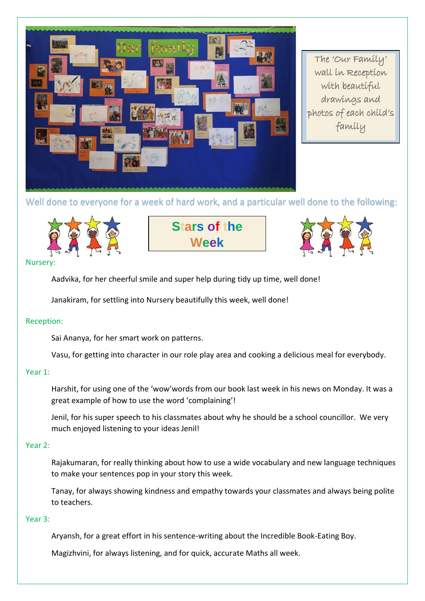

The 'Our Family' wall in Reception with beautiful drawings and photos of each child's family

## Well done to everyone for a week of hard work, and a particular well done to the following:



**Stars of the Week**



#### **Nursery**

Aadvika, for her cheerful smile and super help during tidy up time, well done!

Janakiram, for settling into Nursery beautifully this week, well done!

### Reception:

Sai Ananya, for her smart work on patterns.

Vasu, for getting into character in our role play area and cooking a delicious meal for everybody.

#### Year 1:

Harshit, for using one of the 'wow'words from our book last week in his news on Monday. It was a great example of how to use the word 'complaining'!

Jenil, for his super speech to his classmates about why he should be a school councillor. We very much enjoyed listening to your ideas Jenil!

#### Year 2:

Rajakumaran, for really thinking about how to use a wide vocabulary and new language techniques to make your sentences pop in your story this week.

Tanay, for always showing kindness and empathy towards your classmates and always being polite to teachers.

#### Year 3:

Aryansh, for a great effort in his sentence-writing about the Incredible Book-Eating Boy.

Magizhvini, for always listening, and for quick, accurate Maths all week.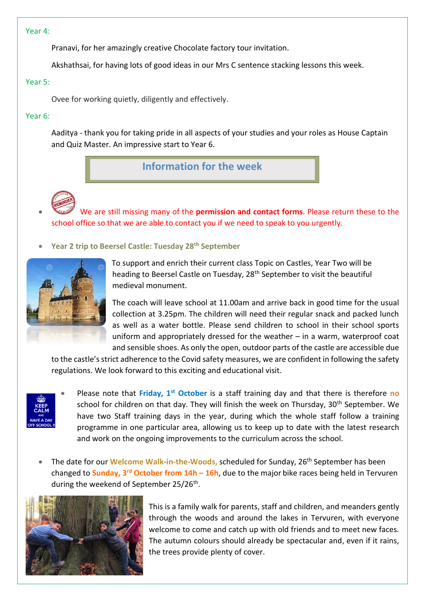#### Year 4:

Pranavi, for her amazingly creative Chocolate factory tour invitation.

Akshathsai, for having lots of good ideas in our Mrs C sentence stacking lessons this week.

#### Year 5:

Ovee for working quietly, diligently and effectively.

#### Year 6:

Aaditya - thank you for taking pride in all aspects of your studies and your roles as House Captain and Quiz Master. An impressive start to Year 6.

**Information for the week** 



• We are still missing many of the **permission and contact forms**. Please return these to the school office so that we are able to contact you if we need to speak to you urgently.

• **Year 2 trip to Beersel Castle: Tuesday 28th September**



To support and enrich their current class Topic on Castles, Year Two will be heading to Beersel Castle on Tuesday, 28<sup>th</sup> September to visit the beautiful medieval monument.

The coach will leave school at 11.00am and arrive back in good time for the usual collection at 3.25pm. The children will need their regular snack and packed lunch as well as a water bottle. Please send children to school in their school sports uniform and appropriately dressed for the weather – in a warm, waterproof coat and sensible shoes. As only the open, outdoor parts of the castle are accessible due

to the castle's strict adherence to the Covid safety measures, we are confident in following the safety regulations. We look forward to this exciting and educational visit.



• Please note that **Friday, 1st October** is a staff training day and that there is therefore **no** school for children on that day. They will finish the week on Thursday, 30<sup>th</sup> September. We have two Staff training days in the year, during which the whole staff follow a training programme in one particular area, allowing us to keep up to date with the latest research and work on the ongoing improvements to the curriculum across the school.

• The date for our **Welcome Walk-in-the-Woods**, scheduled for Sunday, 26<sup>th</sup> September has been changed to **Sunday, 3rd October from 14h – 16h**, due to the major bike races being held in Tervuren during the weekend of September 25/26<sup>th</sup>.



This is a family walk for parents, staff and children, and meanders gently through the woods and around the lakes in Tervuren, with everyone welcome to come and catch up with old friends and to meet new faces. The autumn colours should already be spectacular and, even if it rains, the trees provide plenty of cover.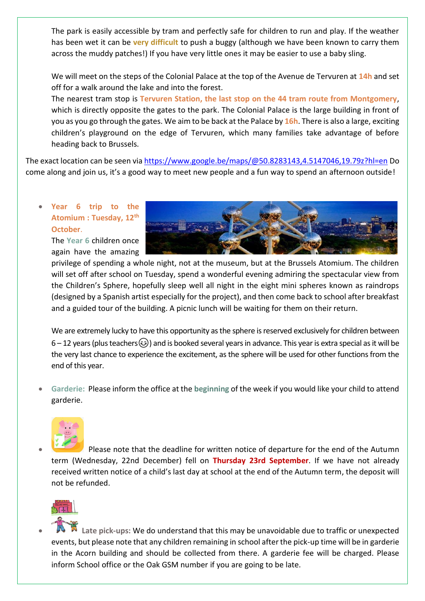The park is easily accessible by tram and perfectly safe for children to run and play. If the weather has been wet it can be **very difficult** to push a buggy (although we have been known to carry them across the muddy patches!) If you have very little ones it may be easier to use a baby sling.

We will meet on the steps of the Colonial Palace at the top of the Avenue de Tervuren at **14h** and set off for a walk around the lake and into the forest.

The nearest tram stop is **Tervuren Station, the last stop on the 44 tram route from Montgomery**, which is directly opposite the gates to the park. The Colonial Palace is the large building in front of you as you go through the gates. We aim to be back at the Palace by **16h**. There is also a large, exciting children's playground on the edge of Tervuren, which many families take advantage of before heading back to Brussels.

The exact location can be seen via<https://www.google.be/maps/@50.8283143,4.5147046,19.79z?hl=en> Do come along and join us, it's a good way to meet new people and a fun way to spend an afternoon outside!

### • **Year 6 trip to the Atomium : Tuesday, 12th October**.

The **Year 6** children once again have the amazing



privilege of spending a whole night, not at the museum, but at the Brussels Atomium. The children will set off after school on Tuesday, spend a wonderful evening admiring the spectacular view from the Children's Sphere, hopefully sleep well all night in the eight mini spheres known as raindrops (designed by a Spanish artist especially for the project), and then come back to school after breakfast and a guided tour of the building. A picnic lunch will be waiting for them on their return.

We are extremely lucky to have this opportunity as the sphere is reserved exclusively for children between 6 – 12 years (plus teachers  $\odot$ ) and is booked several years in advance. This year is extra special as it will be the very last chance to experience the excitement, as the sphere will be used for other functions from the end of this year.

• **Garderie:** Please inform the office at the **beginning** of the week if you would like your child to attend garderie.



• Please note that the deadline for written notice of departure for the end of the Autumn term (Wednesday, 22nd December) fell on **Thursday 23rd September**. If we have not already received written notice of a child's last day at school at the end of the Autumn term, the deposit will not be refunded.



• **Late pick-ups:** We do understand that this may be unavoidable due to traffic or unexpected events, but please note that any children remaining in school after the pick-up time will be in garderie in the Acorn building and should be collected from there. A garderie fee will be charged. Please inform School office or the Oak GSM number if you are going to be late.